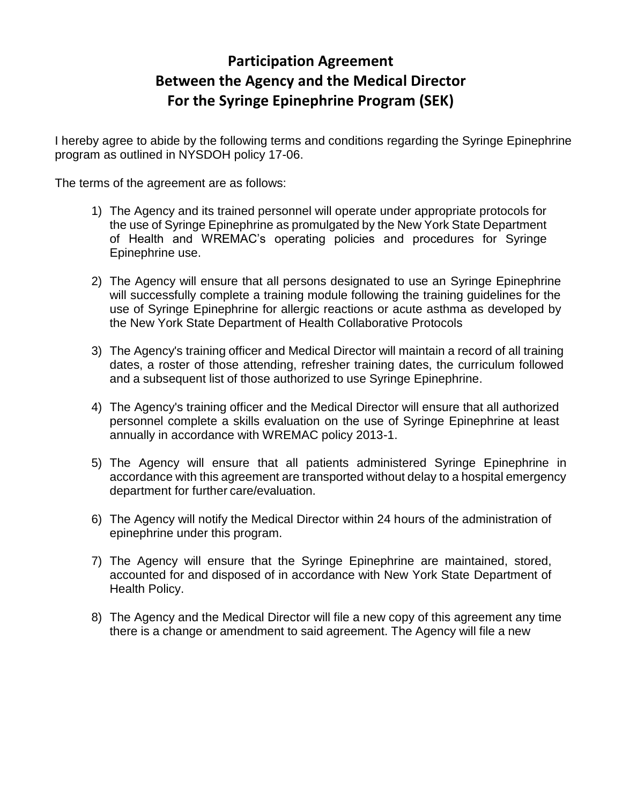## **Participation Agreement Between the Agency and the Medical Director For the Syringe Epinephrine Program (SEK)**

I hereby agree to abide by the following terms and conditions regarding the Syringe Epinephrine program as outlined in NYSDOH policy 17-06.

The terms of the agreement are as follows:

- 1) The Agency and its trained personnel will operate under appropriate protocols for the use of Syringe Epinephrine as promulgated by the New York State Department of Health and WREMAC's operating policies and procedures for Syringe Epinephrine use.
- 2) The Agency will ensure that all persons designated to use an Syringe Epinephrine will successfully complete a training module following the training guidelines for the use of Syringe Epinephrine for allergic reactions or acute asthma as developed by the New York State Department of Health Collaborative Protocols
- 3) The Agency's training officer and Medical Director will maintain a record of all training dates, a roster of those attending, refresher training dates, the curriculum followed and a subsequent list of those authorized to use Syringe Epinephrine.
- 4) The Agency's training officer and the Medical Director will ensure that all authorized personnel complete a skills evaluation on the use of Syringe Epinephrine at least annually in accordance with WREMAC policy 2013-1.
- 5) The Agency will ensure that all patients administered Syringe Epinephrine in accordance with this agreement are transported without delay to a hospital emergency department for further care/evaluation.
- 6) The Agency will notify the Medical Director within 24 hours of the administration of epinephrine under this program.
- 7) The Agency will ensure that the Syringe Epinephrine are maintained, stored, accounted for and disposed of in accordance with New York State Department of Health Policy.
- 8) The Agency and the Medical Director will file a new copy of this agreement any time there is a change or amendment to said agreement. The Agency will file a new